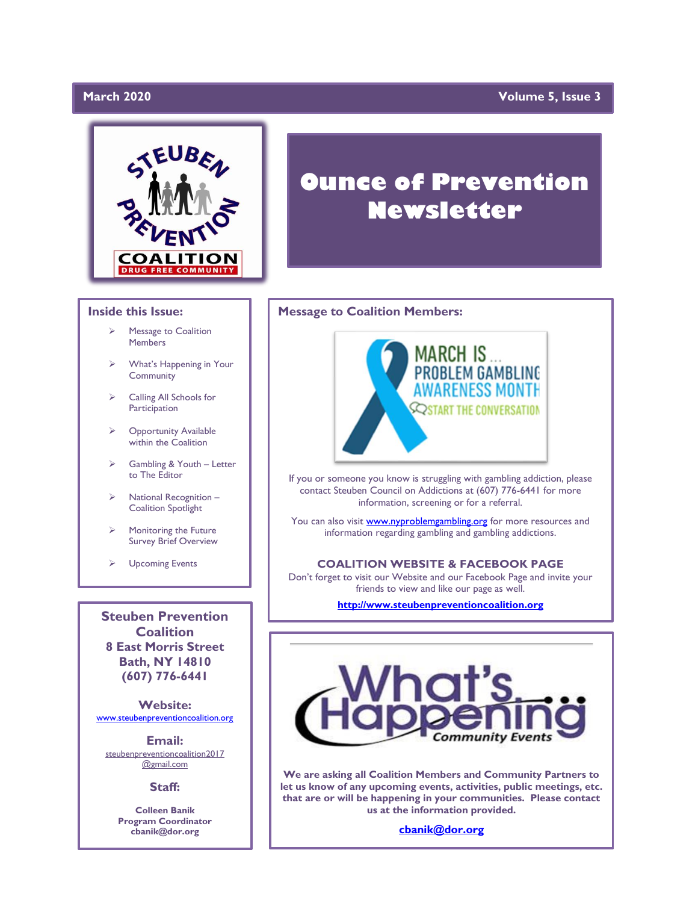# March 2020

# **March 2020 Volume 5, Issue 3**



#### **Inside this Issue:**

- Message to Coalition **Members**
- ➢ What's Happening in Your Community
- ➢ Calling All Schools for Participation
- ➢ Opportunity Available within the Coalition
- ➢ Gambling & Youth Letter to The Editor
- ➢ National Recognition Coalition Spotlight
- Monitoring the Future Survey Brief Overview
- ➢ Upcoming Events

**Steuben Prevention Coalition 8 East Morris Street Bath, NY 14810 (607) 776-6441**

**Website:**  [www.steubenpreventioncoalition.org](http://www.steubenpreventioncoalition.org/)

**Email:**  steubenpreventioncoalition2017 @gmail.com

#### **Staff:**

**Colleen Banik Program Coordinator cbanik@dor.org**

# **Ounce of Prevention Newsletter**

### **Message to Coalition Members:**



If you or someone you know is struggling with gambling addiction, please contact Steuben Council on Addictions at (607) 776-6441 for more information, screening or for a referral.

You can also visit **www.nyproblemgambling.org** for more resources and information regarding gambling and gambling addictions.

### **COALITION WEBSITE & FACEBOOK PAGE**

Don't forget to visit our Website and our Facebook Page and invite your friends to view and like our page as well.

**[http://www.steubenpreventioncoalition.org](http://www.steubenpreventioncoalition.org/)**



**We are asking all Coalition Members and Community Partners to let us know of any upcoming events, activities, public meetings, etc. that are or will be happening in your communities. Please contact us at the information provided.**

**[cbanik@dor.org](mailto:cbanik@dor.org)**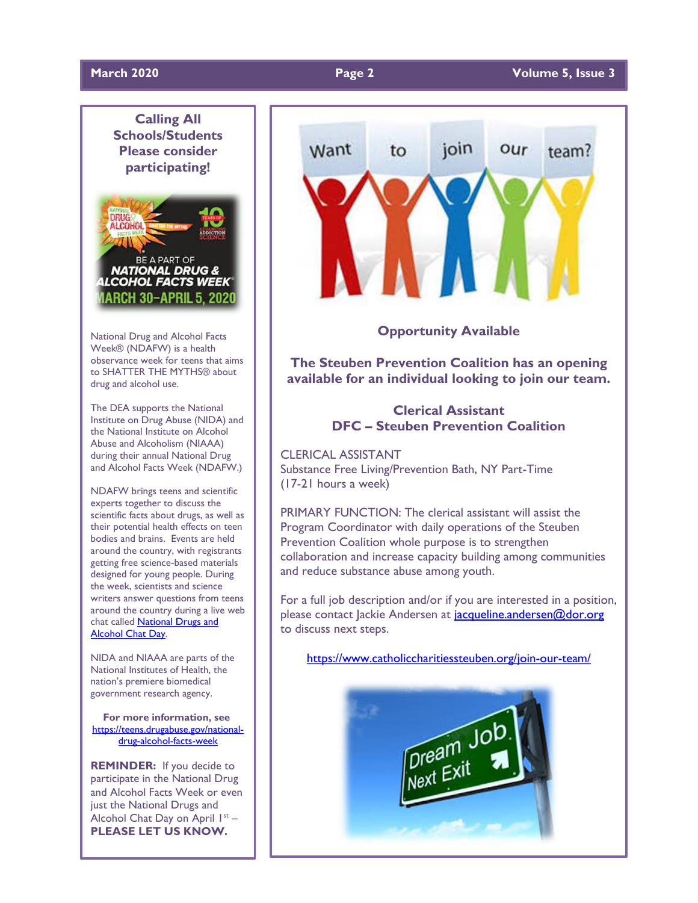

National Drug and Alcohol Facts Week® (NDAFW) is a health observance week for teens that aims to SHATTER THE MYTHS® about drug and alcohol use.

The DEA supports the National Institute on Drug Abuse (NIDA) and the National Institute on Alcohol Abuse and Alcoholism (NIAAA) during their annual National Drug and Alcohol Facts Week (NDAFW.)

NDAFW brings teens and scientific experts together to discuss the scientific facts about drugs, as well as their potential health effects on teen bodies and brains. Events are held around the country, with registrants getting free science-based materials designed for young people. During the week, scientists and science writers answer questions from teens around the country during a live web chat called **National Drugs and** [Alcohol Chat Day.](https://teens.drugabuse.gov/national-drug-alcohol-facts-week/chat-with-scientists)

NIDA and NIAAA are parts of the National Institutes of Health, the nation's premiere biomedical government research agency.

**For more information, see** [https://teens.drugabuse.gov/national](https://teens.drugabuse.gov/national-drug-alcohol-facts-week)[drug-alcohol-facts-week](https://teens.drugabuse.gov/national-drug-alcohol-facts-week)

**REMINDER:** If you decide to participate in the National Drug and Alcohol Facts Week or even just the National Drugs and Alcohol Chat Day on April I<sup>st</sup> -**PLEASE LET US KNOW.**



**Opportunity Available**

**The Steuben Prevention Coalition has an opening available for an individual looking to join our team.**

# **Clerical Assistant DFC – Steuben Prevention Coalition**

CLERICAL ASSISTANT Substance Free Living/Prevention Bath, NY Part-Time (17-21 hours a week)

PRIMARY FUNCTION: The clerical assistant will assist the Program Coordinator with daily operations of the Steuben Prevention Coalition whole purpose is to strengthen collaboration and increase capacity building among communities and reduce substance abuse among youth.

For a full job description and/or if you are interested in a position, please contact Jackie Andersen at jacqueline.andersen@dor.org to discuss next steps.

<https://www.catholiccharitiessteuben.org/join-our-team/>

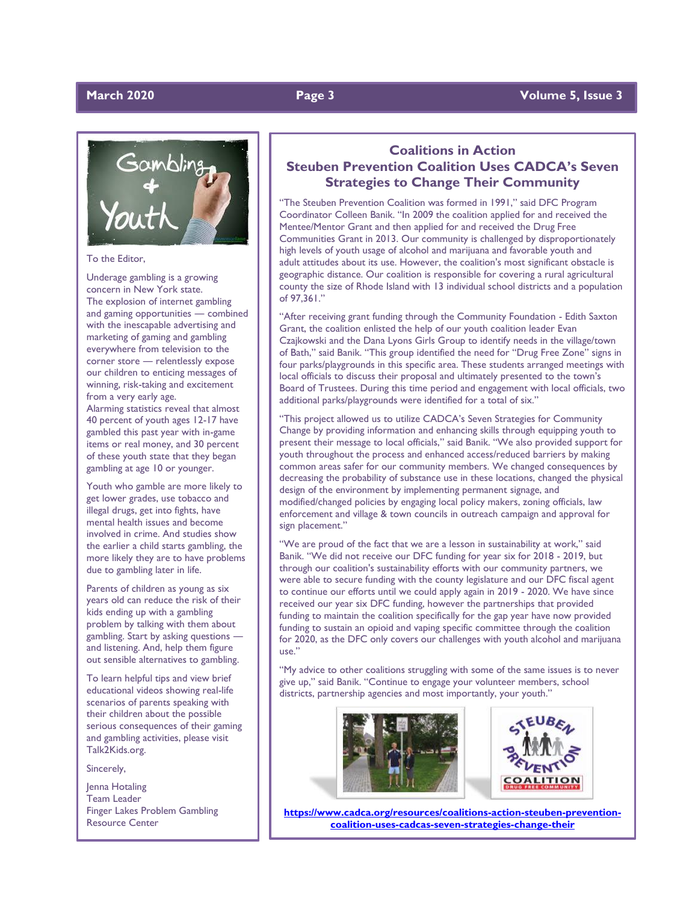# **March 2020 Page 3 Volume 5, Issue 3**





To the Editor,

Underage gambling is a growing concern in New York state. The explosion of internet gambling and gaming opportunities ― combined with the inescapable advertising and marketing of gaming and gambling everywhere from television to the corner store ― relentlessly expose our children to enticing messages of winning, risk-taking and excitement from a very early age.

Alarming statistics reveal that almost 40 percent of youth ages 12-17 have gambled this past year with in-game items or real money, and 30 percent of these youth state that they began gambling at age 10 or younger.

Youth who gamble are more likely to get lower grades, use tobacco and illegal drugs, get into fights, have mental health issues and become involved in crime. And studies show the earlier a child starts gambling, the more likely they are to have problems due to gambling later in life.

Parents of children as young as six years old can reduce the risk of their kids ending up with a gambling problem by talking with them about gambling. Start by asking questions ― and listening. And, help them figure out sensible alternatives to gambling.

To learn helpful tips and view brief educational videos showing real-life scenarios of parents speaking with their children about the possible serious consequences of their gaming and gambling activities, please visit Talk2Kids.org.

#### Sincerely,

Jenna Hotaling Team Leader Finger Lakes Problem Gambling Resource Center

# **Coalitions in Action Steuben Prevention Coalition Uses CADCA's Seven Strategies to Change Their Community**

"The Steuben Prevention Coalition was formed in 1991," said DFC Program Coordinator Colleen Banik. "In 2009 the coalition applied for and received the Mentee/Mentor Grant and then applied for and received the Drug Free Communities Grant in 2013. Our community is challenged by disproportionately high levels of youth usage of alcohol and marijuana and favorable youth and adult attitudes about its use. However, the coalition's most significant obstacle is geographic distance. Our coalition is responsible for covering a rural agricultural county the size of Rhode Island with 13 individual school districts and a population of 97,361."

"After receiving grant funding through the Community Foundation - Edith Saxton Grant, the coalition enlisted the help of our youth coalition leader Evan Czajkowski and the Dana Lyons Girls Group to identify needs in the village/town of Bath," said Banik. "This group identified the need for "Drug Free Zone" signs in four parks/playgrounds in this specific area. These students arranged meetings with local officials to discuss their proposal and ultimately presented to the town's Board of Trustees. During this time period and engagement with local officials, two additional parks/playgrounds were identified for a total of six."

"This project allowed us to utilize CADCA's Seven Strategies for Community Change by providing information and enhancing skills through equipping youth to present their message to local officials," said Banik. "We also provided support for youth throughout the process and enhanced access/reduced barriers by making common areas safer for our community members. We changed consequences by decreasing the probability of substance use in these locations, changed the physical design of the environment by implementing permanent signage, and modified/changed policies by engaging local policy makers, zoning officials, law enforcement and village & town councils in outreach campaign and approval for sign placement."

"We are proud of the fact that we are a lesson in sustainability at work," said Banik. "We did not receive our DFC funding for year six for 2018 - 2019, but through our coalition's sustainability efforts with our community partners, we were able to secure funding with the county legislature and our DFC fiscal agent to continue our efforts until we could apply again in 2019 - 2020. We have since received our year six DFC funding, however the partnerships that provided funding to maintain the coalition specifically for the gap year have now provided funding to sustain an opioid and vaping specific committee through the coalition for 2020, as the DFC only covers our challenges with youth alcohol and marijuana use."

"My advice to other coalitions struggling with some of the same issues is to never give up," said Banik. "Continue to engage your volunteer members, school districts, partnership agencies and most importantly, your youth."





**[https://www.cadca.org/resources/coalitions-action-steuben-prevention](https://www.cadca.org/resources/coalitions-action-steuben-prevention-coalition-uses-cadcas-seven-strategies-change-their)[coalition-uses-cadcas-seven-strategies-change-their](https://www.cadca.org/resources/coalitions-action-steuben-prevention-coalition-uses-cadcas-seven-strategies-change-their)**